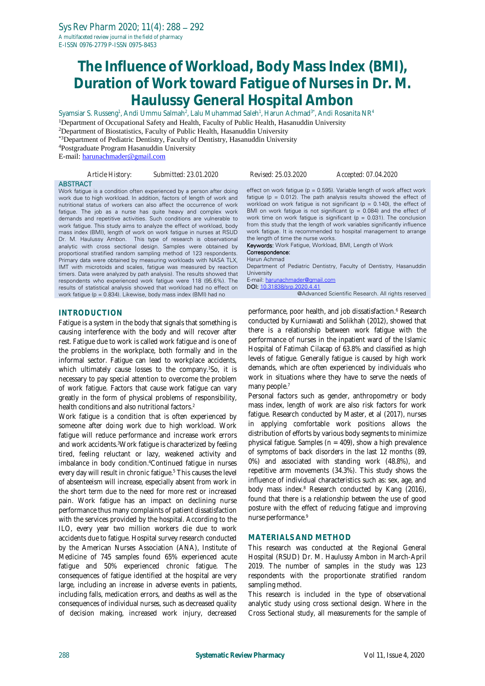# **The Influence of Workload, Body Mass Index (BMI), Duration of Work toward Fatigue of Nurses in Dr. M. Haulussy General Hospital Ambon**

Syamsiar S. Russeng<sup>1</sup>, Andi Ummu Salmah<sup>2</sup>, Lalu Muhammad Saleh<sup>1</sup>, Harun Achmad<sup>3\*</sup>, Andi Rosanita NR<sup>4</sup> <sup>1</sup>Department of Occupational Safety and Health, Faculty of Public Health, Hasanuddin University

<sup>2</sup>Department of Biostatistics, Faculty of Public Health, Hasanuddin University

\*3Department of Pediatric Dentistry, Faculty of Dentistry, Hasanuddin University

<sup>4</sup>Postgraduate Program Hasanuddin University

E-mail: [harunachmader@gmail.com](mailto:harunachmader@gmail.com)

| Article History: | Submitted: 23.01.2020                                                                                                                                                                                                                                                                                                                                                                                                                                                                                                                                                                                                                                                                                                                                                                                                                                                                                                                   | Revised: 25.03.2020                                                                                                                                  | Accepted: 07.04.2020                                                                                                                                                                                                                                                                                                                                                                                                                                                                                                                                                                                                  |
|------------------|-----------------------------------------------------------------------------------------------------------------------------------------------------------------------------------------------------------------------------------------------------------------------------------------------------------------------------------------------------------------------------------------------------------------------------------------------------------------------------------------------------------------------------------------------------------------------------------------------------------------------------------------------------------------------------------------------------------------------------------------------------------------------------------------------------------------------------------------------------------------------------------------------------------------------------------------|------------------------------------------------------------------------------------------------------------------------------------------------------|-----------------------------------------------------------------------------------------------------------------------------------------------------------------------------------------------------------------------------------------------------------------------------------------------------------------------------------------------------------------------------------------------------------------------------------------------------------------------------------------------------------------------------------------------------------------------------------------------------------------------|
| <b>ABSTRACT</b>  | Work fatigue is a condition often experienced by a person after doing<br>work due to high workload. In addition, factors of length of work and<br>nutritional status of workers can also affect the occurrence of work<br>fatique. The job as a nurse has quite heavy and complex work<br>demands and repetitive activities. Such conditions are vulnerable to<br>work fatigue. This study aims to analyze the effect of workload, body<br>mass index (BMI), length of work on work fatigue in nurses at RSUD<br>Dr. M. Haulussy Ambon. This type of research is observational<br>analytic with cross sectional design. Samples were obtained by<br>proportional stratified random sampling method of 123 respondents.<br>Primary data were obtained by measuring workloads with NASA TLX,<br>IMT with microtoids and scales, fatigue was measured by reaction<br>timers. Data were analyzed by path analysis). The results showed that | the length of time the nurse works.<br><b>Keywords:</b> Work Fatique, Workload, BMI, Length of Work<br>Correspondence:<br>Harun Achmad<br>University | effect on work fatigue ( $p = 0.595$ ). Variable length of work affect work<br>fatigue ( $p = 0.012$ ). The path analysis results showed the effect of<br>workload on work fatigue is not significant ( $p = 0.140$ ), the effect of<br>BMI on work fatigue is not significant ( $p = 0.084$ ) and the effect of<br>work time on work fatigue is significant ( $p = 0.031$ ). The conclusion<br>from this study that the length of work variables significantly influence<br>work fatigue. It is recommended to hospital management to arrange<br>Department of Pediatric Dentistry, Faculty of Dentistry, Hasanuddin |

work fatigue (p = 0.834). Likewise, body mass index (BMI) had no

#### **INTRODUCTION**

Fatigue is a system in the body that signals that something is causing interference with the body and will recover after rest. Fatigue due to work is called work fatigue and is one of the problems in the workplace, both formally and in the informal sector. Fatigue can lead to workplace accidents, which ultimately cause losses to the company. <sup>1</sup>So, it is necessary to pay special attention to overcome the problem of work fatigue. Factors that cause work fatigue can vary greatly in the form of physical problems of responsibility, health conditions and also nutritional factors. 2

respondents who experienced work fatigue were 118 (95.6%). The results of statistical analysis showed that workload had no effect on

Work fatigue is a condition that is often experienced by someone after doing work due to high workload. Work fatigue will reduce performance and increase work errors and work accidents.<sup>3</sup>Work fatigue is characterized by feeling tired, feeling reluctant or lazy, weakened activity and imbalance in body condition. <sup>4</sup>Continued fatigue in nurses every day will result in chronic fatigue.<sup>5</sup> This causes the level of absenteeism will increase, especially absent from work in the short term due to the need for more rest or increased pain. Work fatigue has an impact on declining nurse performance thus many complaints of patient dissatisfaction with the services provided by the hospital. According to the ILO, every year two million workers die due to work accidents due to fatigue. Hospital survey research conducted by the American Nurses Association (ANA), Institute of Medicine of 745 samples found 65% experienced acute fatigue and 50% experienced chronic fatigue. The consequences of fatigue identified at the hospital are very large, including an increase in adverse events in patients, including falls, medication errors, and deaths as well as the consequences of individual nurses, such as decreased quality of decision making, increased work injury, decreased

**University** E-mail: [harunachmader@gmail.com](mailto:harunachmader@gmail.com) DOI: [10.31838/srp.2020.4.41](http://dx.doi.org/10.5530/srp.2019.2.04)

@Advanced Scientific Research. All rights reserved

performance, poor health, and job dissatisfaction.<sup>6</sup> Research conducted by Kurniawati and Solikhah (2012), showed that there is a relationship between work fatigue with the performance of nurses in the inpatient ward of the Islamic Hospital of Fatimah Cilacap of 63.8% and classified as high levels of fatigue. Generally fatigue is caused by high work demands, which are often experienced by individuals who work in situations where they have to serve the needs of many people.<sup>7</sup>

Personal factors such as gender, anthropometry or body mass index, length of work are also risk factors for work fatigue. Research conducted by Master, et al (2017), nurses in applying comfortable work positions allows the distribution of efforts by various body segments to minimize physical fatigue. Samples ( $n = 409$ ), show a high prevalence of symptoms of back disorders in the last 12 months (89, 0%) and associated with standing work (48.8%), and repetitive arm movements (34.3%). This study shows the influence of individual characteristics such as: sex, age, and body mass index.<sup>8</sup> Research conducted by Kang (2016), found that there is a relationship between the use of good posture with the effect of reducing fatigue and improving nurse performance. 9

#### **MATERIALS AND METHOD**

This research was conducted at the Regional General Hospital (RSUD) Dr. M. Haulussy Ambon in March-April 2019. The number of samples in the study was 123 respondents with the proportionate stratified random sampling method.

This research is included in the type of observational analytic study using cross sectional design. Where in the Cross Sectional study, all measurements for the sample of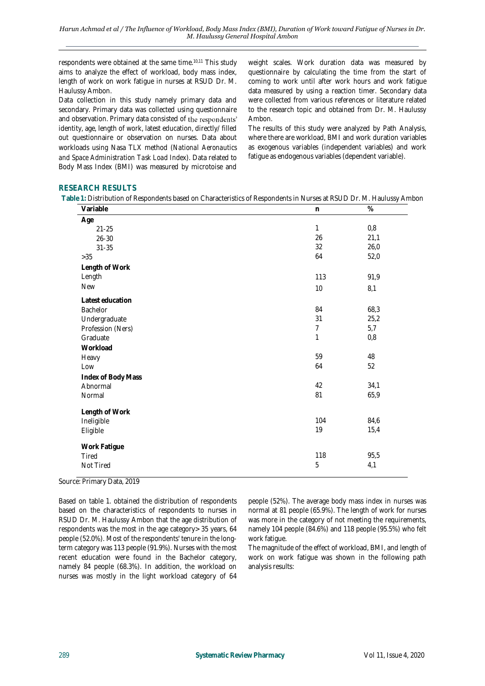respondents were obtained at the same time.10,11 This study aims to analyze the effect of workload, body mass index, length of work on work fatigue in nurses at RSUD Dr. M. Haulussy Ambon.

Data collection in this study namely primary data and secondary. Primary data was collected using questionnaire and observation. Primary data consisted of the respondents' identity, age, length of work, latest education, directly/ filled out questionnaire or observation on nurses. Data about workloads using Nasa TLX method (*National Aeronautics and Space Administration Task Load Index*). Data related to Body Mass Index (BMI) was measured by microtoise and

weight scales. Work duration data was measured by questionnaire by calculating the time from the start of coming to work until after work hours and work fatigue data measured by using a reaction timer. Secondary data were collected from various references or literature related to the research topic and obtained from Dr. M. Haulussy Ambon.

The results of this study were analyzed by Path Analysis, where there are workload, BMI and work duration variables as exogenous variables (independent variables) and work fatigue as endogenous variables (dependent variable).

#### **RESEARCH RESULTS**

**Table 1:** Distribution of Respondents based on Characteristics of Respondents in Nurses at RSUD Dr. M. Haulussy Ambon

| Variable           | $\mathsf{n}$   | $\%$ |
|--------------------|----------------|------|
| Age                |                |      |
| $21 - 25$          | 1              | 0,8  |
| $26 - 30$          | 26             | 21,1 |
| $31 - 35$          | 32             | 26,0 |
| $>35$              | 64             | 52,0 |
| Length of Work     |                |      |
| Length             | 113            | 91,9 |
| <b>New</b>         | $10$           | 8,1  |
| Latest education   |                |      |
| Bachelor           | 84             | 68,3 |
| Undergraduate      | 31             | 25,2 |
| Profession (Ners)  | $\overline{7}$ | 5,7  |
| Graduate           | 1              | 0,8  |
| Workload           |                |      |
| Heavy              | 59             | 48   |
| Low                | 64             | 52   |
| Index of Body Mass |                |      |
| Abnormal           | 42             | 34,1 |
| Normal             | 81             | 65,9 |
|                    |                |      |
| Length of Work     |                |      |
| Ineligible         | 104            | 84,6 |
| Eligible           | 19             | 15,4 |
|                    |                |      |
| Work Fatigue       | 118            | 95,5 |
| Tired<br>Not Tired | 5              | 4,1  |
|                    |                |      |

Source: Primary Data, 2019

Based on table 1. obtained the distribution of respondents based on the characteristics of respondents to nurses in RSUD Dr. M. Haulussy Ambon that the age distribution of respondents was the most in the age category> 35 years, 64 people (52.0%). Most of the respondents' tenure in the longterm category was 113 people (91.9%). Nurses with the most recent education were found in the Bachelor category, namely 84 people (68.3%). In addition, the workload on nurses was mostly in the light workload category of 64

people (52%). The average body mass index in nurses was normal at 81 people (65.9%). The length of work for nurses was more in the category of not meeting the requirements, namely 104 people (84.6%) and 118 people (95.5%) who felt work fatigue.

The magnitude of the effect of workload, BMI, and length of work on work fatigue was shown in the following path analysis results: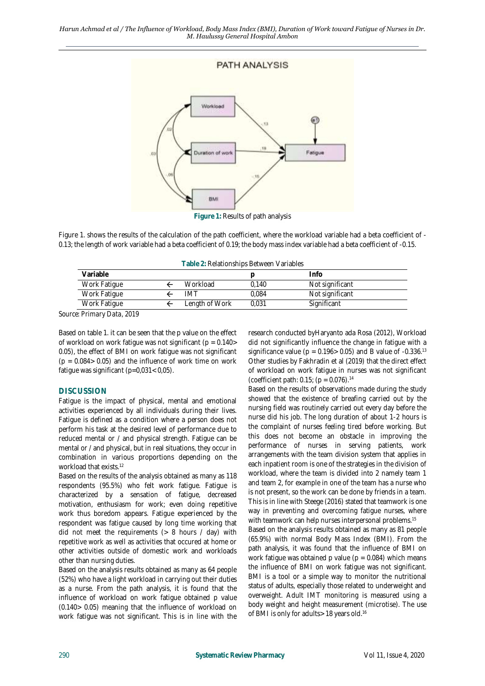

Figure 1. shows the results of the calculation of the path coefficient, where the workload variable had a beta coefficient of - 0.13; the length of work variable had a beta coefficient of 0.19; the body mass index variable had a beta coefficient of -0.15.

| Variable                                 |                |       | Info            |
|------------------------------------------|----------------|-------|-----------------|
| Work Fatigue                             | Workload       | 0.140 | Not significant |
| Work Fatique                             | IMT            | 0.084 | Not significant |
| Work Fatique                             | Length of Work | 0.031 | Significant     |
| $\sim$ $\cdot$<br>0.010<br>$\sim$ $\sim$ |                |       |                 |

*Source: Primary Data, 2019*

Based on table 1. it can be seen that the p value on the effect of workload on work fatigue was not significant ( $p = 0.140$  > 0.05), the effect of BMI on work fatigue was not significant  $(p = 0.084 > 0.05)$  and the influence of work time on work fatigue was significant (p=0,031< 0,05).

#### **DISCUSSION**

Fatigue is the impact of physical, mental and emotional activities experienced by all individuals during their lives. Fatigue is defined as a condition where a person does not perform his task at the desired level of performance due to reduced mental or / and physical strength. Fatigue can be mental or / and physical, but in real situations, they occur in combination in various proportions depending on the workload that exists. 12

Based on the results of the analysis obtained as many as 118 respondents (95.5%) who felt work fatigue. Fatigue is characterized by a sensation of fatigue, decreased motivation, enthusiasm for work; even doing repetitive work thus boredom appears. Fatigue experienced by the respondent was fatigue caused by long time working that did not meet the requirements  $(> 8$  hours / day) with repetitive work as well as activities that occured at home or other activities outside of domestic work and workloads other than nursing duties.

Based on the analysis results obtained as many as 64 people (52%) who have a light workload in carrying out their duties as a nurse. From the path analysis, it is found that the influence of workload on work fatigue obtained p value (0.140> 0.05) meaning that the influence of workload on work fatigue was not significant. This is in line with the

research conducted byHaryanto ada Rosa (2012), Workload did not significantly influence the change in fatigue with a significance value ( $p = 0.196 > 0.05$ ) and B value of -0.336.<sup>13</sup> Other studies by Fakhradin et al (2019) that the direct effect of workload on work fatigue in nurses was not significant (coefficient path: 0.15;  $(p = 0.076)^{14}$ 

Based on the results of observations made during the study showed that the existence of breafing carried out by the nursing field was routinely carried out every day before the nurse did his job. The long duration of about 1-2 hours is the complaint of nurses feeling tired before working. But this does not become an obstacle in improving the performance of nurses in serving patients, work arrangements with the team division system that applies in each inpatient room is one of the strategies in the division of workload, where the team is divided into 2 namely team 1 and team 2, for example in one of the team has a nurse who is not present, so the work can be done by friends in a team. This is in line with Steege (2016) stated that teamwork is one way in preventing and overcoming fatigue nurses, where with teamwork can help nurses interpersonal problems. 15 Based on the analysis results obtained as many as 81 people (65.9%) with normal Body Mass Index (BMI). From the path analysis, it was found that the influence of BMI on

work fatigue was obtained p value ( $p = 0.084$ ) which means the influence of BMI on work fatigue was not significant. BMI is a tool or a simple way to monitor the nutritional status of adults, especially those related to underweight and overweight. Adult IMT monitoring is measured using a body weight and height measurement (microtise). The use of BMI is only for adults> 18 years old.<sup>16</sup>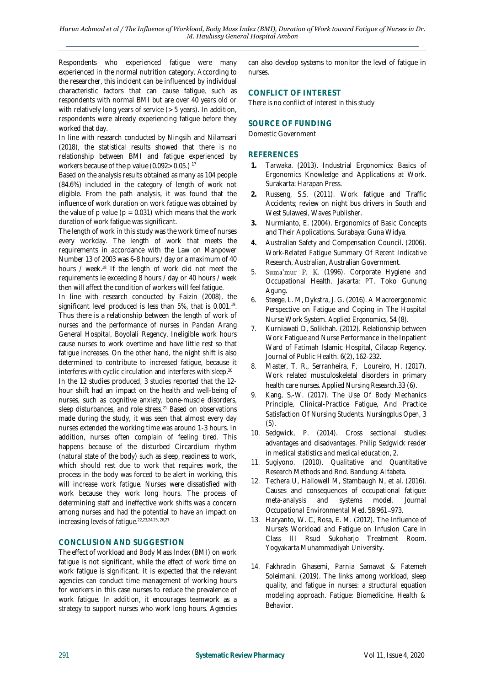Respondents who experienced fatigue were many experienced in the normal nutrition category. According to the researcher, this incident can be influenced by individual characteristic factors that can cause fatigue, such as respondents with normal BMI but are over 40 years old or with relatively long years of service (> 5 years). In addition, respondents were already experiencing fatigue before they worked that day.

In line with research conducted by Ningsih and Nilamsari (2018), the statistical results showed that there is no relationship between BMI and fatigue experienced by workers because of the p value (0.092 > 0.05.)<sup>17</sup>

Based on the analysis results obtained as many as 104 people (84.6%) included in the category of length of work not eligible. From the path analysis, it was found that the influence of work duration on work fatigue was obtained by the value of p value ( $p = 0.031$ ) which means that the work duration of work fatigue was significant.

The length of work in this study was the work time of nurses every workday. The length of work that meets the requirements in accordance with the Law on Manpower Number 13 of 2003 was 6-8 hours / day or a maximum of 40 hours / week.<sup>18</sup> If the length of work did not meet the requirements ie exceeding 8 hours / day or 40 hours / week then will affect the condition of workers will feel fatigue.

In line with research conducted by Faizin (2008), the significant level produced is less than 5%, that is 0.001.<sup>19</sup>. Thus there is a relationship between the length of work of nurses and the performance of nurses in Pandan Arang General Hospital, Boyolali Regency. Ineligible work hours cause nurses to work overtime and have little rest so that fatigue increases. On the other hand, the night shift is also determined to contribute to increased fatigue, because it interferes with cyclic circulation and interferes with sleep. 20

In the 12 studies produced, 3 studies reported that the 12 hour shift had an impact on the health and well-being of nurses, such as cognitive anxiety, bone-muscle disorders, sleep disturbances, and role stress.<sup>21</sup> Based on observations made during the study, it was seen that almost every day nurses extended the working time was around 1-3 hours. In addition, nurses often complain of feeling tired. This happens because of the disturbed Circardium rhythm (natural state of the body) such as sleep, readiness to work, which should rest due to work that requires work, the process in the body was forced to be alert in working, this will increase work fatigue. Nurses were dissatisfied with work because they work long hours. The process of determining staff and ineffective work shifts was a concern among nurses and had the potential to have an impact on increasing levels of fatigue. 22,23,24,25, 26,27

#### **CONCLUSION AND SUGGESTION**

The effect of workload and Body Mass Index (BMI) on work fatigue is not significant, while the effect of work time on work fatigue is significant. It is expected that the relevant agencies can conduct time management of working hours for workers in this case nurses to reduce the prevalence of work fatigue. In addition, it encourages teamwork as a strategy to support nurses who work long hours. Agencies

can also develop systems to monitor the level of fatigue in nurses.

## **CONFLICT OF INTEREST**

There is no conflict of interest in this study

### **SOURCE OF FUNDING**

Domestic Government

#### **REFERENCES**

- **1.** Tarwaka. (2013). Industrial Ergonomics: Basics of Ergonomics Knowledge and Applications at Work. Surakarta: Harapan Press.
- **2.** Russeng, S.S. (2011). Work fatigue and Traffic Accidents; review on night bus drivers in South and West Sulawesi, Waves Publisher.
- **3.** Nurmianto, E. (2004). Ergonomics of Basic Concepts and Their Applications. Surabaya: Guna Widya.
- **4.** Australian Safety and Compensation Council. (2006). *Work-Related Fatigue Summary Of Recent Indicative Research,* Australian, Australian Government.
- 5. Suma'mur P. K. (1996). Corporate Hygiene and Occupational Health. Jakarta: PT. Toko Gunung Agung.
- 6. Steege, L. M, Dykstra, J. G. (2016). A Macroergonomic Perspective on Fatigue and Coping in The Hospital Nurse Work System. *Applied Ergonomics,* 54 (8).
- 7. Kurniawati D, Solikhah. (2012). Relationship between Work Fatigue and Nurse Performance in the Inpatient Ward of Fatimah Islamic Hospital, Cilacap Regency. Journal of Public Health. 6(2), 162-232.
- 8. Master, T. R., Serranheira, F, Loureiro, H. (2017). Work related musculoskeletal disorders in primary health care nurses. *Applied Nursing Research,*33 (6).
- Kang, S.-W. (2017). The Use Of Body Mechanics Principle, Clinical-Practice Fatigue, And Practice Satisfaction Of Nursing Students. *Nursingplus Open,* 3 (5).
- 10. Sedgwick, P. (2014). Cross sectional studies: advantages and disadvantages. *Philip Sedgwick reader in medical statistics and medical education*, 2.
- 11. Sugiyono. (2010). Qualitative and Quantitative Research Methods and Rnd. Bandung: Alfabeta.
- 12. Techera U, Hallowell M, Stambaugh N, et al. (2016). Causes and consequences of occupational fatigue: meta-analysis and systems model. *Journal Occupational Environmental Med.* 58:961-973.
- 13. Haryanto, W. C, Rosa, E. M. (2012). The Influence of Nurse's Workload and Fatigue on Infusion Care in Class III Rsud Sukoharjo Treatment Room. Yogyakarta Muhammadiyah University.
- 14. Fakhradin Ghasemi, Parnia Samavat & Fatemeh Soleimani. (2019). The links among workload, sleep quality, and fatigue in nurses: a structural equation modeling approach. *Fatigue: Biomedicine, Health & Behavior.*